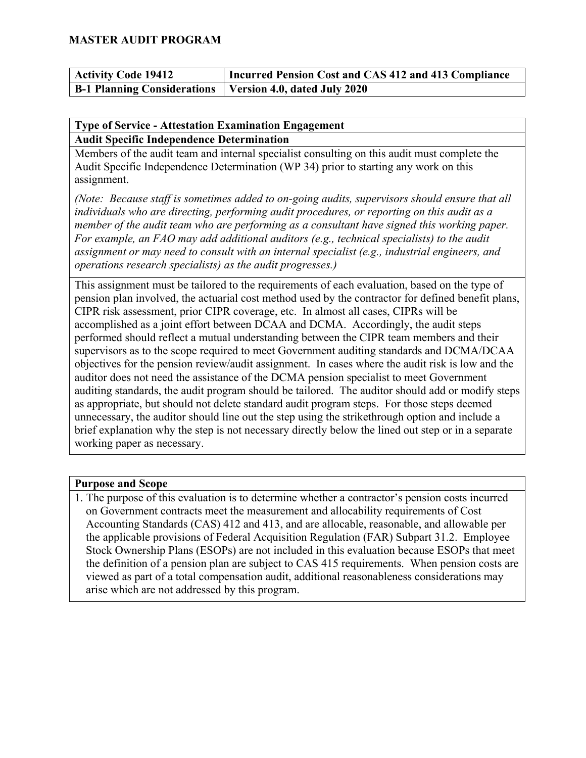| <b>Activity Code 19412</b>                                        | Incurred Pension Cost and CAS 412 and 413 Compliance |
|-------------------------------------------------------------------|------------------------------------------------------|
| <b>B-1 Planning Considerations   Version 4.0, dated July 2020</b> |                                                      |

#### **Type of Service - Attestation Examination Engagement Audit Specific Independence Determination**

Members of the audit team and internal specialist consulting on this audit must complete the Audit Specific Independence Determination (WP 34) prior to starting any work on this assignment.

*(Note: Because staff is sometimes added to on-going audits, supervisors should ensure that all individuals who are directing, performing audit procedures, or reporting on this audit as a member of the audit team who are performing as a consultant have signed this working paper. For example, an FAO may add additional auditors (e.g., technical specialists) to the audit assignment or may need to consult with an internal specialist (e.g., industrial engineers, and operations research specialists) as the audit progresses.)* 

This assignment must be tailored to the requirements of each evaluation, based on the type of pension plan involved, the actuarial cost method used by the contractor for defined benefit plans, CIPR risk assessment, prior CIPR coverage, etc. In almost all cases, CIPRs will be accomplished as a joint effort between DCAA and DCMA. Accordingly, the audit steps performed should reflect a mutual understanding between the CIPR team members and their supervisors as to the scope required to meet Government auditing standards and DCMA/DCAA objectives for the pension review/audit assignment. In cases where the audit risk is low and the auditor does not need the assistance of the DCMA pension specialist to meet Government auditing standards, the audit program should be tailored. The auditor should add or modify steps as appropriate, but should not delete standard audit program steps. For those steps deemed unnecessary, the auditor should line out the step using the strikethrough option and include a brief explanation why the step is not necessary directly below the lined out step or in a separate working paper as necessary.

#### **Purpose and Scope**

1. The purpose of this evaluation is to determine whether a contractor's pension costs incurred on Government contracts meet the measurement and allocability requirements of Cost Accounting Standards (CAS) 412 and 413, and are allocable, reasonable, and allowable per the applicable provisions of Federal Acquisition Regulation (FAR) Subpart 31.2. Employee Stock Ownership Plans (ESOPs) are not included in this evaluation because ESOPs that meet the definition of a pension plan are subject to CAS 415 requirements. When pension costs are viewed as part of a total compensation audit, additional reasonableness considerations may arise which are not addressed by this program.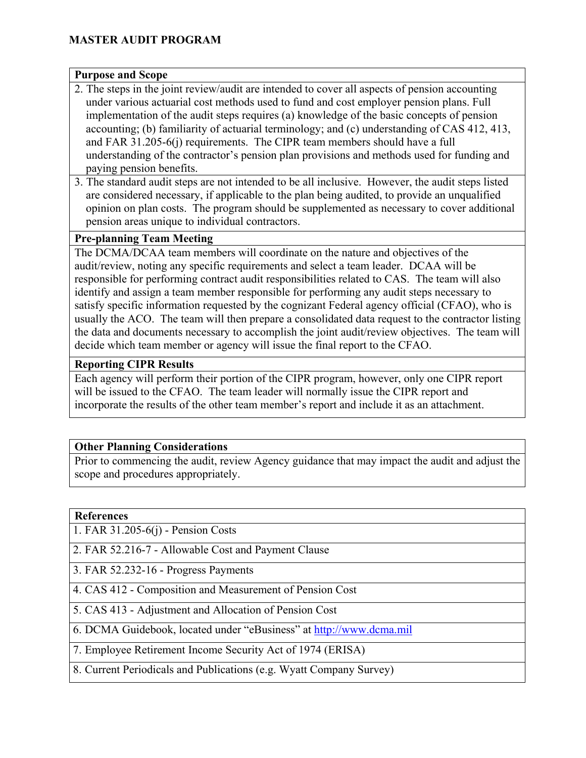#### **Purpose and Scope**

- 2. The steps in the joint review/audit are intended to cover all aspects of pension accounting under various actuarial cost methods used to fund and cost employer pension plans. Full implementation of the audit steps requires (a) knowledge of the basic concepts of pension accounting; (b) familiarity of actuarial terminology; and (c) understanding of CAS 412, 413, and FAR 31.205-6(j) requirements. The CIPR team members should have a full understanding of the contractor's pension plan provisions and methods used for funding and paying pension benefits.
- 3. The standard audit steps are not intended to be all inclusive. However, the audit steps listed are considered necessary, if applicable to the plan being audited, to provide an unqualified opinion on plan costs. The program should be supplemented as necessary to cover additional pension areas unique to individual contractors.

#### **Pre-planning Team Meeting**

The DCMA/DCAA team members will coordinate on the nature and objectives of the audit/review, noting any specific requirements and select a team leader. DCAA will be responsible for performing contract audit responsibilities related to CAS. The team will also identify and assign a team member responsible for performing any audit steps necessary to satisfy specific information requested by the cognizant Federal agency official (CFAO), who is usually the ACO. The team will then prepare a consolidated data request to the contractor listing the data and documents necessary to accomplish the joint audit/review objectives. The team will decide which team member or agency will issue the final report to the CFAO.

#### **Reporting CIPR Results**

Each agency will perform their portion of the CIPR program, however, only one CIPR report will be issued to the CFAO. The team leader will normally issue the CIPR report and incorporate the results of the other team member's report and include it as an attachment.

#### **Other Planning Considerations**

Prior to commencing the audit, review Agency guidance that may impact the audit and adjust the scope and procedures appropriately.

#### **References**

1. FAR 31.205-6(j) - Pension Costs

2. FAR 52.216-7 - Allowable Cost and Payment Clause

3. FAR 52.232-16 - Progress Payments

4. CAS 412 - Composition and Measurement of Pension Cost

5. CAS 413 - Adjustment and Allocation of Pension Cost

6. DCMA Guidebook, located under "eBusiness" at [http://www.dcma.mil](http://www.dcma.mil/)

7. Employee Retirement Income Security Act of 1974 (ERISA)

8. Current Periodicals and Publications (e.g. Wyatt Company Survey)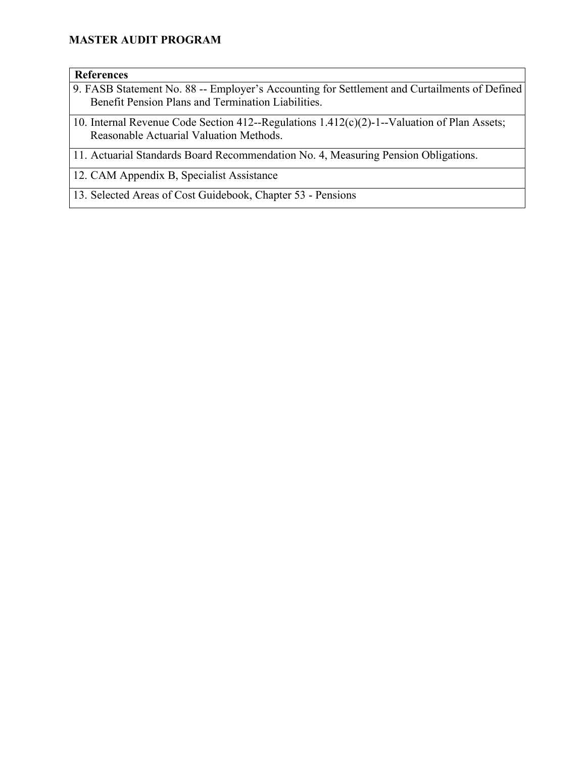#### **References**

- 9. FASB Statement No. 88 -- Employer's Accounting for Settlement and Curtailments of Defined Benefit Pension Plans and Termination Liabilities.
- 10. Internal Revenue Code Section 412--Regulations 1.412(c)(2)-1--Valuation of Plan Assets; Reasonable Actuarial Valuation Methods.
- 11. Actuarial Standards Board Recommendation No. 4, Measuring Pension Obligations.

12. CAM Appendix B, Specialist Assistance

13. Selected Areas of Cost Guidebook, Chapter 53 - Pensions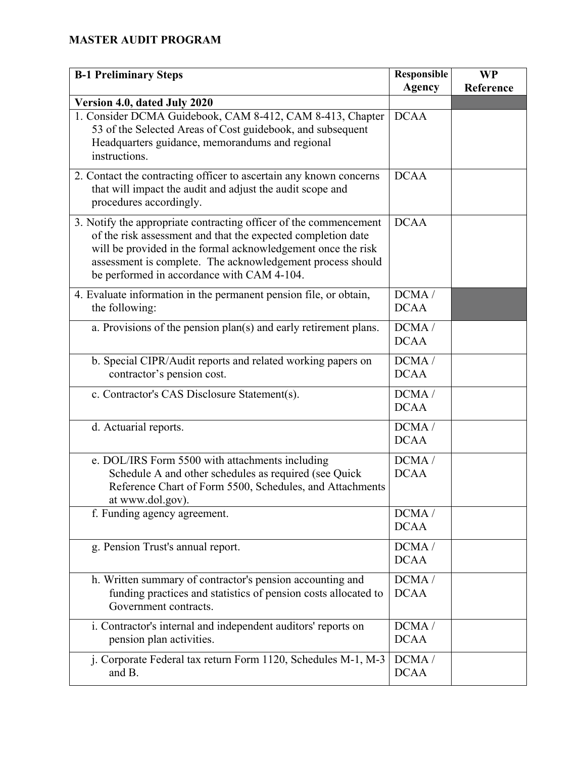| <b>B-1 Preliminary Steps</b>                                                                                                                                                                                                                                                                                  | <b>Responsible</b><br><b>Agency</b> | <b>WP</b><br>Reference |
|---------------------------------------------------------------------------------------------------------------------------------------------------------------------------------------------------------------------------------------------------------------------------------------------------------------|-------------------------------------|------------------------|
| Version 4.0, dated July 2020                                                                                                                                                                                                                                                                                  |                                     |                        |
| 1. Consider DCMA Guidebook, CAM 8-412, CAM 8-413, Chapter<br>53 of the Selected Areas of Cost guidebook, and subsequent<br>Headquarters guidance, memorandums and regional<br>instructions.                                                                                                                   | <b>DCAA</b>                         |                        |
| 2. Contact the contracting officer to ascertain any known concerns<br>that will impact the audit and adjust the audit scope and<br>procedures accordingly.                                                                                                                                                    | <b>DCAA</b>                         |                        |
| 3. Notify the appropriate contracting officer of the commencement<br>of the risk assessment and that the expected completion date<br>will be provided in the formal acknowledgement once the risk<br>assessment is complete. The acknowledgement process should<br>be performed in accordance with CAM 4-104. | <b>DCAA</b>                         |                        |
| 4. Evaluate information in the permanent pension file, or obtain,<br>the following:                                                                                                                                                                                                                           | DCMA/<br><b>DCAA</b>                |                        |
| a. Provisions of the pension plan(s) and early retirement plans.                                                                                                                                                                                                                                              | DCMA/<br><b>DCAA</b>                |                        |
| b. Special CIPR/Audit reports and related working papers on<br>contractor's pension cost.                                                                                                                                                                                                                     | DCMA/<br><b>DCAA</b>                |                        |
| c. Contractor's CAS Disclosure Statement(s).                                                                                                                                                                                                                                                                  | DCMA/<br><b>DCAA</b>                |                        |
| d. Actuarial reports.                                                                                                                                                                                                                                                                                         | DCMA/<br><b>DCAA</b>                |                        |
| e. DOL/IRS Form 5500 with attachments including<br>Schedule A and other schedules as required (see Quick<br>Reference Chart of Form 5500, Schedules, and Attachments<br>at www.dol.gov).                                                                                                                      | DCMA/<br><b>DCAA</b>                |                        |
| f. Funding agency agreement.                                                                                                                                                                                                                                                                                  | DCMA/<br><b>DCAA</b>                |                        |
| g. Pension Trust's annual report.                                                                                                                                                                                                                                                                             | DCMA/<br><b>DCAA</b>                |                        |
| h. Written summary of contractor's pension accounting and<br>funding practices and statistics of pension costs allocated to<br>Government contracts.                                                                                                                                                          | DCMA/<br><b>DCAA</b>                |                        |
| i. Contractor's internal and independent auditors' reports on<br>pension plan activities.                                                                                                                                                                                                                     | DCMA/<br><b>DCAA</b>                |                        |
| j. Corporate Federal tax return Form 1120, Schedules M-1, M-3<br>and B.                                                                                                                                                                                                                                       | DCMA/<br><b>DCAA</b>                |                        |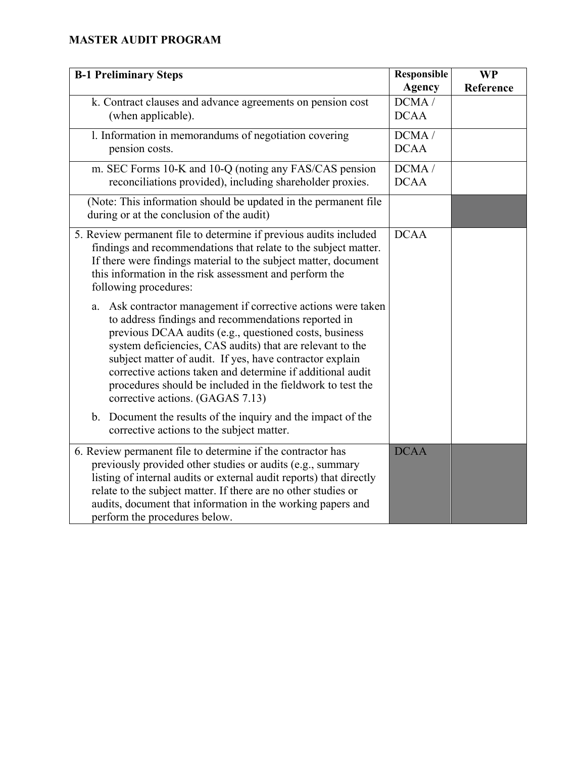| <b>B-1 Preliminary Steps</b>                                                                                                                                                                                                                                                                                                                                                                                                                                                                                                                                                                                                                                                                                                                                                                                                              | Responsible<br><b>Agency</b> | <b>WP</b><br>Reference |
|-------------------------------------------------------------------------------------------------------------------------------------------------------------------------------------------------------------------------------------------------------------------------------------------------------------------------------------------------------------------------------------------------------------------------------------------------------------------------------------------------------------------------------------------------------------------------------------------------------------------------------------------------------------------------------------------------------------------------------------------------------------------------------------------------------------------------------------------|------------------------------|------------------------|
| k. Contract clauses and advance agreements on pension cost<br>(when applicable).                                                                                                                                                                                                                                                                                                                                                                                                                                                                                                                                                                                                                                                                                                                                                          | DCMA/<br><b>DCAA</b>         |                        |
| 1. Information in memorandums of negotiation covering<br>pension costs.                                                                                                                                                                                                                                                                                                                                                                                                                                                                                                                                                                                                                                                                                                                                                                   | DCMA/<br><b>DCAA</b>         |                        |
| m. SEC Forms 10-K and 10-Q (noting any FAS/CAS pension<br>reconciliations provided), including shareholder proxies.                                                                                                                                                                                                                                                                                                                                                                                                                                                                                                                                                                                                                                                                                                                       | DCMA /<br><b>DCAA</b>        |                        |
| (Note: This information should be updated in the permanent file<br>during or at the conclusion of the audit)                                                                                                                                                                                                                                                                                                                                                                                                                                                                                                                                                                                                                                                                                                                              |                              |                        |
| 5. Review permanent file to determine if previous audits included<br>findings and recommendations that relate to the subject matter.<br>If there were findings material to the subject matter, document<br>this information in the risk assessment and perform the<br>following procedures:<br>Ask contractor management if corrective actions were taken<br>a.<br>to address findings and recommendations reported in<br>previous DCAA audits (e.g., questioned costs, business<br>system deficiencies, CAS audits) that are relevant to the<br>subject matter of audit. If yes, have contractor explain<br>corrective actions taken and determine if additional audit<br>procedures should be included in the fieldwork to test the<br>corrective actions. (GAGAS 7.13)<br>b. Document the results of the inquiry and the impact of the | <b>DCAA</b>                  |                        |
| corrective actions to the subject matter.                                                                                                                                                                                                                                                                                                                                                                                                                                                                                                                                                                                                                                                                                                                                                                                                 |                              |                        |
| 6. Review permanent file to determine if the contractor has<br>previously provided other studies or audits (e.g., summary<br>listing of internal audits or external audit reports) that directly<br>relate to the subject matter. If there are no other studies or<br>audits, document that information in the working papers and<br>perform the procedures below.                                                                                                                                                                                                                                                                                                                                                                                                                                                                        | <b>DCAA</b>                  |                        |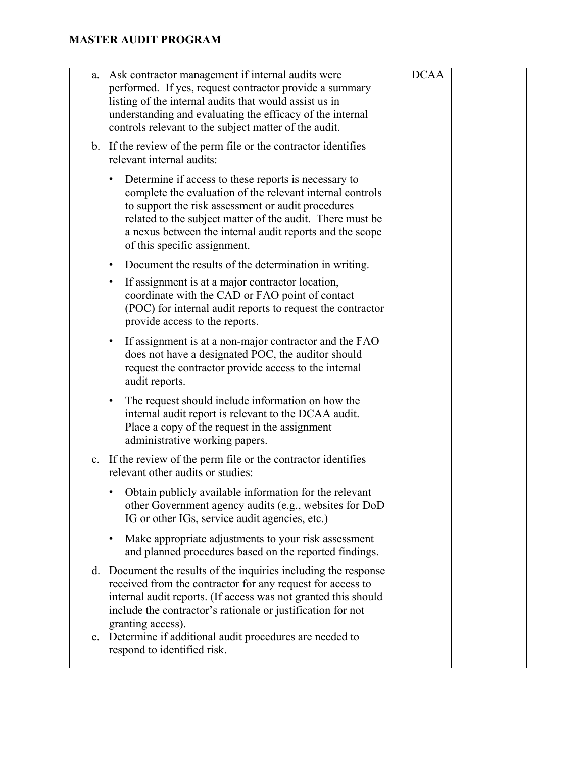| a. | Ask contractor management if internal audits were<br>performed. If yes, request contractor provide a summary<br>listing of the internal audits that would assist us in<br>understanding and evaluating the efficacy of the internal<br>controls relevant to the subject matter of the audit.                                     | <b>DCAA</b> |  |
|----|----------------------------------------------------------------------------------------------------------------------------------------------------------------------------------------------------------------------------------------------------------------------------------------------------------------------------------|-------------|--|
|    | b. If the review of the perm file or the contractor identifies<br>relevant internal audits:                                                                                                                                                                                                                                      |             |  |
|    | Determine if access to these reports is necessary to<br>complete the evaluation of the relevant internal controls<br>to support the risk assessment or audit procedures<br>related to the subject matter of the audit. There must be<br>a nexus between the internal audit reports and the scope<br>of this specific assignment. |             |  |
|    | Document the results of the determination in writing.<br>٠                                                                                                                                                                                                                                                                       |             |  |
|    | If assignment is at a major contractor location,<br>٠<br>coordinate with the CAD or FAO point of contact<br>(POC) for internal audit reports to request the contractor<br>provide access to the reports.                                                                                                                         |             |  |
|    | If assignment is at a non-major contractor and the FAO<br>٠<br>does not have a designated POC, the auditor should<br>request the contractor provide access to the internal<br>audit reports.                                                                                                                                     |             |  |
|    | The request should include information on how the<br>٠<br>internal audit report is relevant to the DCAA audit.<br>Place a copy of the request in the assignment<br>administrative working papers.                                                                                                                                |             |  |
| c. | If the review of the perm file or the contractor identifies<br>relevant other audits or studies:                                                                                                                                                                                                                                 |             |  |
|    | Obtain publicly available information for the relevant<br>other Government agency audits (e.g., websites for DoD<br>IG or other IGs, service audit agencies, etc.)                                                                                                                                                               |             |  |
|    | Make appropriate adjustments to your risk assessment<br>٠<br>and planned procedures based on the reported findings.                                                                                                                                                                                                              |             |  |
|    | d. Document the results of the inquiries including the response<br>received from the contractor for any request for access to<br>internal audit reports. (If access was not granted this should<br>include the contractor's rationale or justification for not<br>granting access).                                              |             |  |
| e. | Determine if additional audit procedures are needed to<br>respond to identified risk.                                                                                                                                                                                                                                            |             |  |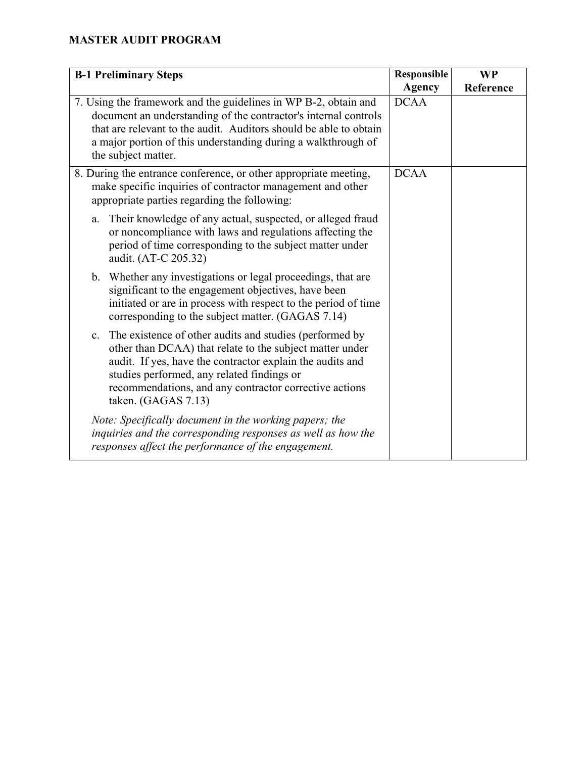| <b>B-1 Preliminary Steps</b>                                                                                                                                                                                                                                                                                                      | <b>Responsible</b> | <b>WP</b> |
|-----------------------------------------------------------------------------------------------------------------------------------------------------------------------------------------------------------------------------------------------------------------------------------------------------------------------------------|--------------------|-----------|
|                                                                                                                                                                                                                                                                                                                                   | <b>Agency</b>      | Reference |
| 7. Using the framework and the guidelines in WP B-2, obtain and<br>document an understanding of the contractor's internal controls<br>that are relevant to the audit. Auditors should be able to obtain<br>a major portion of this understanding during a walkthrough of<br>the subject matter.                                   | <b>DCAA</b>        |           |
| 8. During the entrance conference, or other appropriate meeting,<br>make specific inquiries of contractor management and other<br>appropriate parties regarding the following:                                                                                                                                                    | <b>DCAA</b>        |           |
| Their knowledge of any actual, suspected, or alleged fraud<br>a.<br>or noncompliance with laws and regulations affecting the<br>period of time corresponding to the subject matter under<br>audit. (AT-C 205.32)                                                                                                                  |                    |           |
| b. Whether any investigations or legal proceedings, that are<br>significant to the engagement objectives, have been<br>initiated or are in process with respect to the period of time<br>corresponding to the subject matter. (GAGAS 7.14)                                                                                        |                    |           |
| The existence of other audits and studies (performed by<br>$\mathbf{c}$ .<br>other than DCAA) that relate to the subject matter under<br>audit. If yes, have the contractor explain the audits and<br>studies performed, any related findings or<br>recommendations, and any contractor corrective actions<br>taken. (GAGAS 7.13) |                    |           |
| Note: Specifically document in the working papers; the<br>inquiries and the corresponding responses as well as how the<br>responses affect the performance of the engagement.                                                                                                                                                     |                    |           |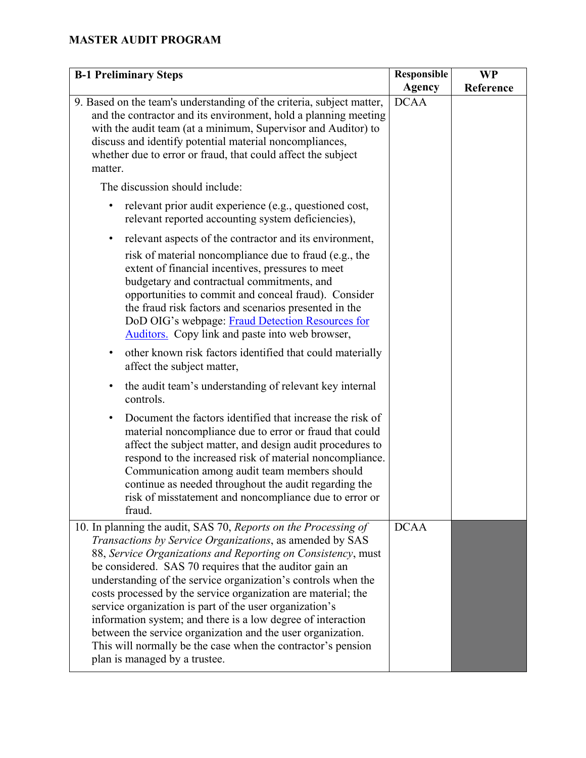| <b>B-1 Preliminary Steps</b>                                                                                                                                                                                                                                                                                                                                                                                                             | Responsible   | <b>WP</b> |
|------------------------------------------------------------------------------------------------------------------------------------------------------------------------------------------------------------------------------------------------------------------------------------------------------------------------------------------------------------------------------------------------------------------------------------------|---------------|-----------|
|                                                                                                                                                                                                                                                                                                                                                                                                                                          | <b>Agency</b> | Reference |
| 9. Based on the team's understanding of the criteria, subject matter,<br>and the contractor and its environment, hold a planning meeting<br>with the audit team (at a minimum, Supervisor and Auditor) to<br>discuss and identify potential material noncompliances,<br>whether due to error or fraud, that could affect the subject<br>matter.                                                                                          | <b>DCAA</b>   |           |
| The discussion should include:                                                                                                                                                                                                                                                                                                                                                                                                           |               |           |
| relevant prior audit experience (e.g., questioned cost,<br>relevant reported accounting system deficiencies),                                                                                                                                                                                                                                                                                                                            |               |           |
| relevant aspects of the contractor and its environment,<br>٠                                                                                                                                                                                                                                                                                                                                                                             |               |           |
| risk of material noncompliance due to fraud (e.g., the<br>extent of financial incentives, pressures to meet<br>budgetary and contractual commitments, and<br>opportunities to commit and conceal fraud). Consider<br>the fraud risk factors and scenarios presented in the<br>DoD OIG's webpage: Fraud Detection Resources for<br>Auditors. Copy link and paste into web browser,                                                        |               |           |
| other known risk factors identified that could materially<br>affect the subject matter,                                                                                                                                                                                                                                                                                                                                                  |               |           |
| the audit team's understanding of relevant key internal<br>٠<br>controls.                                                                                                                                                                                                                                                                                                                                                                |               |           |
| Document the factors identified that increase the risk of<br>$\bullet$<br>material noncompliance due to error or fraud that could<br>affect the subject matter, and design audit procedures to<br>respond to the increased risk of material noncompliance.<br>Communication among audit team members should<br>continue as needed throughout the audit regarding the<br>risk of misstatement and noncompliance due to error or<br>fraud. |               |           |
| 10. In planning the audit, SAS 70, Reports on the Processing of                                                                                                                                                                                                                                                                                                                                                                          | <b>DCAA</b>   |           |
| Transactions by Service Organizations, as amended by SAS                                                                                                                                                                                                                                                                                                                                                                                 |               |           |
| 88, Service Organizations and Reporting on Consistency, must<br>be considered. SAS 70 requires that the auditor gain an                                                                                                                                                                                                                                                                                                                  |               |           |
| understanding of the service organization's controls when the                                                                                                                                                                                                                                                                                                                                                                            |               |           |
| costs processed by the service organization are material; the                                                                                                                                                                                                                                                                                                                                                                            |               |           |
| service organization is part of the user organization's                                                                                                                                                                                                                                                                                                                                                                                  |               |           |
| information system; and there is a low degree of interaction<br>between the service organization and the user organization.                                                                                                                                                                                                                                                                                                              |               |           |
| This will normally be the case when the contractor's pension<br>plan is managed by a trustee.                                                                                                                                                                                                                                                                                                                                            |               |           |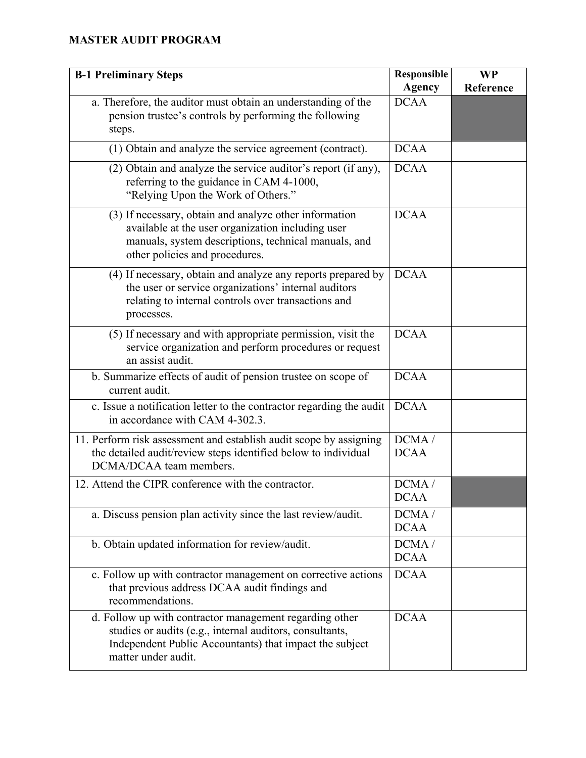| <b>B-1 Preliminary Steps</b>                                                                                                                                                                          | <b>Responsible</b><br><b>Agency</b> | <b>WP</b><br>Reference |
|-------------------------------------------------------------------------------------------------------------------------------------------------------------------------------------------------------|-------------------------------------|------------------------|
| a. Therefore, the auditor must obtain an understanding of the<br>pension trustee's controls by performing the following<br>steps.                                                                     | <b>DCAA</b>                         |                        |
| (1) Obtain and analyze the service agreement (contract).                                                                                                                                              | <b>DCAA</b>                         |                        |
| (2) Obtain and analyze the service auditor's report (if any),<br>referring to the guidance in CAM 4-1000,<br>"Relying Upon the Work of Others."                                                       | <b>DCAA</b>                         |                        |
| (3) If necessary, obtain and analyze other information<br>available at the user organization including user<br>manuals, system descriptions, technical manuals, and<br>other policies and procedures. | <b>DCAA</b>                         |                        |
| (4) If necessary, obtain and analyze any reports prepared by<br>the user or service organizations' internal auditors<br>relating to internal controls over transactions and<br>processes.             | <b>DCAA</b>                         |                        |
| (5) If necessary and with appropriate permission, visit the<br>service organization and perform procedures or request<br>an assist audit.                                                             | <b>DCAA</b>                         |                        |
| b. Summarize effects of audit of pension trustee on scope of<br>current audit.                                                                                                                        | <b>DCAA</b>                         |                        |
| c. Issue a notification letter to the contractor regarding the audit<br>in accordance with CAM 4-302.3.                                                                                               | <b>DCAA</b>                         |                        |
| 11. Perform risk assessment and establish audit scope by assigning<br>the detailed audit/review steps identified below to individual<br>DCMA/DCAA team members.                                       | DCMA/<br><b>DCAA</b>                |                        |
| 12. Attend the CIPR conference with the contractor.                                                                                                                                                   | DCMA/<br><b>DCAA</b>                |                        |
| a. Discuss pension plan activity since the last review/audit.                                                                                                                                         | DCMA/<br><b>DCAA</b>                |                        |
| b. Obtain updated information for review/audit.                                                                                                                                                       | DCMA/<br><b>DCAA</b>                |                        |
| c. Follow up with contractor management on corrective actions<br>that previous address DCAA audit findings and<br>recommendations.                                                                    | <b>DCAA</b>                         |                        |
| d. Follow up with contractor management regarding other<br>studies or audits (e.g., internal auditors, consultants,<br>Independent Public Accountants) that impact the subject<br>matter under audit. | <b>DCAA</b>                         |                        |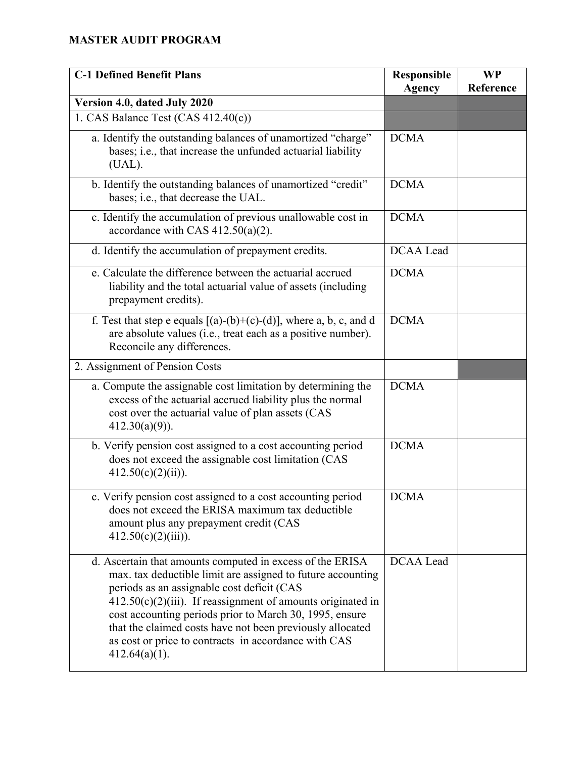| <b>C-1 Defined Benefit Plans</b>                                                                                                                                                                                                                                                                                                                                                                                                             | <b>Responsible</b><br><b>Agency</b> | <b>WP</b><br>Reference |
|----------------------------------------------------------------------------------------------------------------------------------------------------------------------------------------------------------------------------------------------------------------------------------------------------------------------------------------------------------------------------------------------------------------------------------------------|-------------------------------------|------------------------|
| Version 4.0, dated July 2020                                                                                                                                                                                                                                                                                                                                                                                                                 |                                     |                        |
| 1. CAS Balance Test (CAS 412.40(c))                                                                                                                                                                                                                                                                                                                                                                                                          |                                     |                        |
| a. Identify the outstanding balances of unamortized "charge"<br>bases; i.e., that increase the unfunded actuarial liability<br>(UAL).                                                                                                                                                                                                                                                                                                        | <b>DCMA</b>                         |                        |
| b. Identify the outstanding balances of unamortized "credit"<br>bases; i.e., that decrease the UAL.                                                                                                                                                                                                                                                                                                                                          | <b>DCMA</b>                         |                        |
| c. Identify the accumulation of previous unallowable cost in<br>accordance with CAS $412.50(a)(2)$ .                                                                                                                                                                                                                                                                                                                                         | <b>DCMA</b>                         |                        |
| d. Identify the accumulation of prepayment credits.                                                                                                                                                                                                                                                                                                                                                                                          | DCAA Lead                           |                        |
| e. Calculate the difference between the actuarial accrued<br>liability and the total actuarial value of assets (including<br>prepayment credits).                                                                                                                                                                                                                                                                                            | <b>DCMA</b>                         |                        |
| f. Test that step e equals $[(a)-(b)+(c)-(d)]$ , where a, b, c, and d<br>are absolute values (i.e., treat each as a positive number).<br>Reconcile any differences.                                                                                                                                                                                                                                                                          | <b>DCMA</b>                         |                        |
| 2. Assignment of Pension Costs                                                                                                                                                                                                                                                                                                                                                                                                               |                                     |                        |
| a. Compute the assignable cost limitation by determining the<br>excess of the actuarial accrued liability plus the normal<br>cost over the actuarial value of plan assets (CAS<br>$412.30(a)(9)$ ).                                                                                                                                                                                                                                          | <b>DCMA</b>                         |                        |
| b. Verify pension cost assigned to a cost accounting period<br>does not exceed the assignable cost limitation (CAS<br>$412.50(c)(2)(ii)$ ).                                                                                                                                                                                                                                                                                                  | <b>DCMA</b>                         |                        |
| c. Verify pension cost assigned to a cost accounting period<br>does not exceed the ERISA maximum tax deductible<br>amount plus any prepayment credit (CAS<br>$412.50(c)(2)(iii)$ ).                                                                                                                                                                                                                                                          | <b>DCMA</b>                         |                        |
| d. Ascertain that amounts computed in excess of the ERISA<br>max. tax deductible limit are assigned to future accounting<br>periods as an assignable cost deficit (CAS<br>$412.50(c)(2)(iii)$ . If reassignment of amounts originated in<br>cost accounting periods prior to March 30, 1995, ensure<br>that the claimed costs have not been previously allocated<br>as cost or price to contracts in accordance with CAS<br>$412.64(a)(1)$ . | DCAA Lead                           |                        |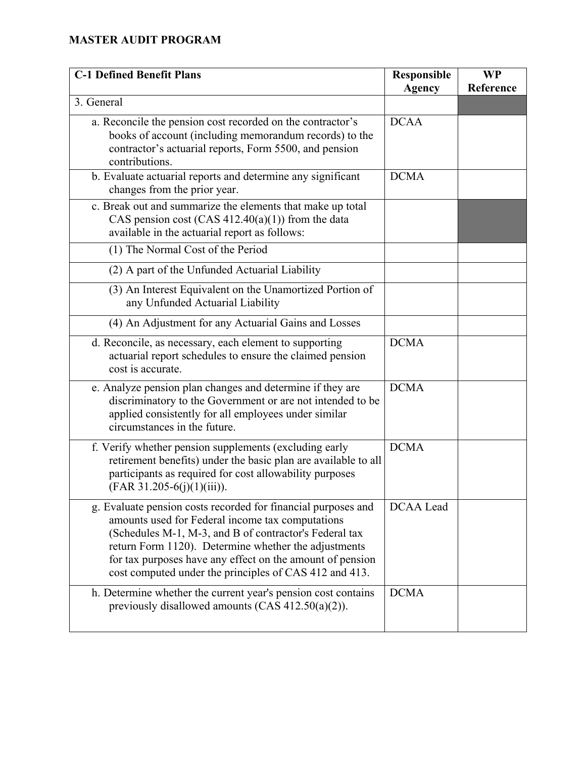| <b>C-1 Defined Benefit Plans</b>                                                                                                                                                                                                                                                                                                                           | Responsible<br><b>Agency</b> | <b>WP</b><br>Reference |
|------------------------------------------------------------------------------------------------------------------------------------------------------------------------------------------------------------------------------------------------------------------------------------------------------------------------------------------------------------|------------------------------|------------------------|
| 3. General                                                                                                                                                                                                                                                                                                                                                 |                              |                        |
| a. Reconcile the pension cost recorded on the contractor's<br>books of account (including memorandum records) to the<br>contractor's actuarial reports, Form 5500, and pension<br>contributions.                                                                                                                                                           | <b>DCAA</b>                  |                        |
| b. Evaluate actuarial reports and determine any significant<br>changes from the prior year.                                                                                                                                                                                                                                                                | <b>DCMA</b>                  |                        |
| c. Break out and summarize the elements that make up total<br>CAS pension cost (CAS $412.40(a)(1)$ ) from the data<br>available in the actuarial report as follows:                                                                                                                                                                                        |                              |                        |
| (1) The Normal Cost of the Period                                                                                                                                                                                                                                                                                                                          |                              |                        |
| (2) A part of the Unfunded Actuarial Liability                                                                                                                                                                                                                                                                                                             |                              |                        |
| (3) An Interest Equivalent on the Unamortized Portion of<br>any Unfunded Actuarial Liability                                                                                                                                                                                                                                                               |                              |                        |
| (4) An Adjustment for any Actuarial Gains and Losses                                                                                                                                                                                                                                                                                                       |                              |                        |
| d. Reconcile, as necessary, each element to supporting<br>actuarial report schedules to ensure the claimed pension<br>cost is accurate.                                                                                                                                                                                                                    | <b>DCMA</b>                  |                        |
| e. Analyze pension plan changes and determine if they are<br>discriminatory to the Government or are not intended to be<br>applied consistently for all employees under similar<br>circumstances in the future.                                                                                                                                            | <b>DCMA</b>                  |                        |
| f. Verify whether pension supplements (excluding early<br>retirement benefits) under the basic plan are available to all<br>participants as required for cost allowability purposes<br>$(FAR 31.205-6(j)(1)(iii)).$                                                                                                                                        | <b>DCMA</b>                  |                        |
| g. Evaluate pension costs recorded for financial purposes and<br>amounts used for Federal income tax computations<br>(Schedules M-1, M-3, and B of contractor's Federal tax<br>return Form 1120). Determine whether the adjustments<br>for tax purposes have any effect on the amount of pension<br>cost computed under the principles of CAS 412 and 413. | <b>DCAA</b> Lead             |                        |
| h. Determine whether the current year's pension cost contains<br>previously disallowed amounts $(CAS 412.50(a)(2))$ .                                                                                                                                                                                                                                      | <b>DCMA</b>                  |                        |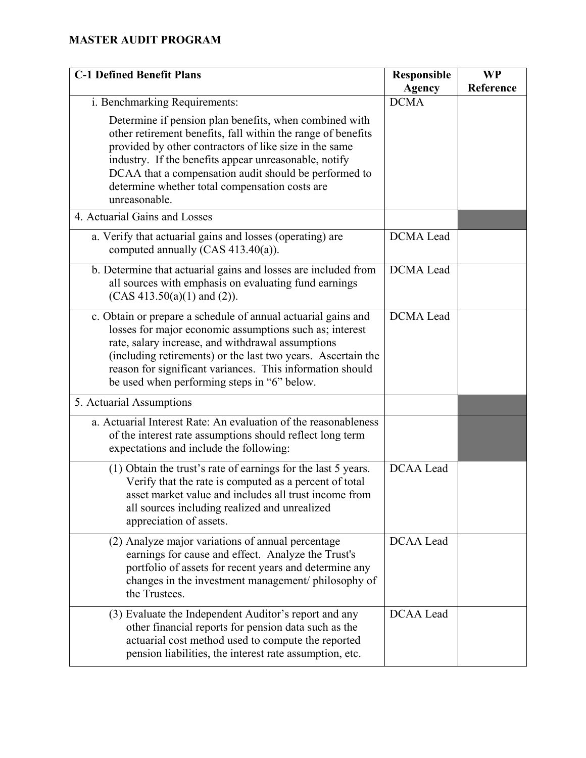| <b>C-1 Defined Benefit Plans</b>                                                                                                                                                                                                                                                                                                                                      | <b>Responsible</b><br><b>Agency</b> | <b>WP</b><br>Reference |
|-----------------------------------------------------------------------------------------------------------------------------------------------------------------------------------------------------------------------------------------------------------------------------------------------------------------------------------------------------------------------|-------------------------------------|------------------------|
| i. Benchmarking Requirements:                                                                                                                                                                                                                                                                                                                                         | <b>DCMA</b>                         |                        |
| Determine if pension plan benefits, when combined with<br>other retirement benefits, fall within the range of benefits<br>provided by other contractors of like size in the same<br>industry. If the benefits appear unreasonable, notify<br>DCAA that a compensation audit should be performed to<br>determine whether total compensation costs are<br>unreasonable. |                                     |                        |
| 4. Actuarial Gains and Losses                                                                                                                                                                                                                                                                                                                                         |                                     |                        |
| a. Verify that actuarial gains and losses (operating) are<br>computed annually (CAS $413.40(a)$ ).                                                                                                                                                                                                                                                                    | <b>DCMA</b> Lead                    |                        |
| b. Determine that actuarial gains and losses are included from<br>all sources with emphasis on evaluating fund earnings<br>$(CAS 413.50(a)(1)$ and $(2)$ ).                                                                                                                                                                                                           | <b>DCMA</b> Lead                    |                        |
| c. Obtain or prepare a schedule of annual actuarial gains and<br>losses for major economic assumptions such as; interest<br>rate, salary increase, and withdrawal assumptions<br>(including retirements) or the last two years. Ascertain the<br>reason for significant variances. This information should<br>be used when performing steps in "6" below.             | <b>DCMA</b> Lead                    |                        |
| 5. Actuarial Assumptions                                                                                                                                                                                                                                                                                                                                              |                                     |                        |
| a. Actuarial Interest Rate: An evaluation of the reasonableness<br>of the interest rate assumptions should reflect long term<br>expectations and include the following:                                                                                                                                                                                               |                                     |                        |
| (1) Obtain the trust's rate of earnings for the last 5 years.<br>Verify that the rate is computed as a percent of total<br>asset market value and includes all trust income from<br>all sources including realized and unrealized<br>appreciation of assets.                                                                                                          | <b>DCAA</b> Lead                    |                        |
| (2) Analyze major variations of annual percentage<br>earnings for cause and effect. Analyze the Trust's<br>portfolio of assets for recent years and determine any<br>changes in the investment management/ philosophy of<br>the Trustees.                                                                                                                             | DCAA Lead                           |                        |
| (3) Evaluate the Independent Auditor's report and any<br>other financial reports for pension data such as the<br>actuarial cost method used to compute the reported<br>pension liabilities, the interest rate assumption, etc.                                                                                                                                        | <b>DCAA</b> Lead                    |                        |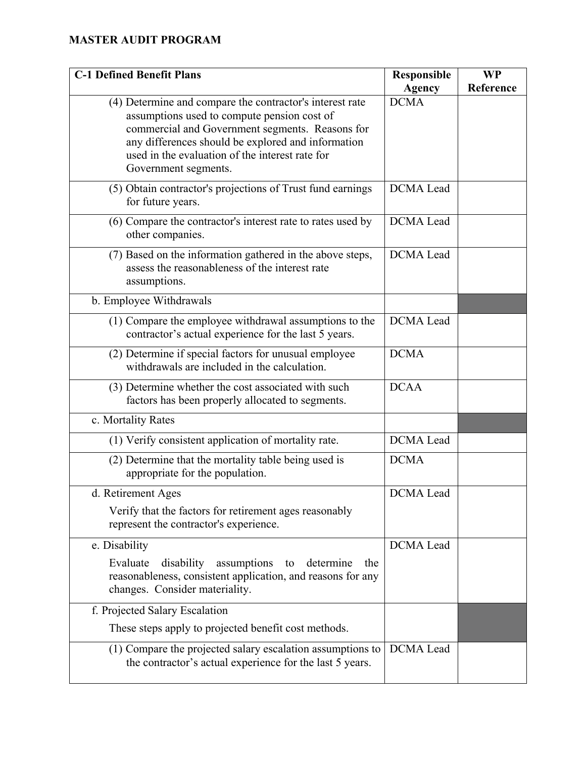| <b>C-1 Defined Benefit Plans</b>                                                                                                                                                                                                                                                            | Responsible<br><b>Agency</b> | <b>WP</b><br>Reference |
|---------------------------------------------------------------------------------------------------------------------------------------------------------------------------------------------------------------------------------------------------------------------------------------------|------------------------------|------------------------|
| (4) Determine and compare the contractor's interest rate<br>assumptions used to compute pension cost of<br>commercial and Government segments. Reasons for<br>any differences should be explored and information<br>used in the evaluation of the interest rate for<br>Government segments. | <b>DCMA</b>                  |                        |
| (5) Obtain contractor's projections of Trust fund earnings<br>for future years.                                                                                                                                                                                                             | <b>DCMA</b> Lead             |                        |
| (6) Compare the contractor's interest rate to rates used by<br>other companies.                                                                                                                                                                                                             | <b>DCMA</b> Lead             |                        |
| (7) Based on the information gathered in the above steps,<br>assess the reasonableness of the interest rate<br>assumptions.                                                                                                                                                                 | <b>DCMA</b> Lead             |                        |
| b. Employee Withdrawals                                                                                                                                                                                                                                                                     |                              |                        |
| (1) Compare the employee withdrawal assumptions to the<br>contractor's actual experience for the last 5 years.                                                                                                                                                                              | <b>DCMA</b> Lead             |                        |
| (2) Determine if special factors for unusual employee<br>withdrawals are included in the calculation.                                                                                                                                                                                       | <b>DCMA</b>                  |                        |
| (3) Determine whether the cost associated with such<br>factors has been properly allocated to segments.                                                                                                                                                                                     | <b>DCAA</b>                  |                        |
| c. Mortality Rates                                                                                                                                                                                                                                                                          |                              |                        |
| (1) Verify consistent application of mortality rate.                                                                                                                                                                                                                                        | <b>DCMA</b> Lead             |                        |
| (2) Determine that the mortality table being used is<br>appropriate for the population.                                                                                                                                                                                                     | <b>DCMA</b>                  |                        |
| d. Retirement Ages<br>Verify that the factors for retirement ages reasonably<br>represent the contractor's experience.                                                                                                                                                                      | DCMA Lead                    |                        |
| e. Disability                                                                                                                                                                                                                                                                               | <b>DCMA</b> Lead             |                        |
| Evaluate<br>disability<br>assumptions<br>determine<br>to<br>the<br>reasonableness, consistent application, and reasons for any<br>changes. Consider materiality.                                                                                                                            |                              |                        |
| f. Projected Salary Escalation                                                                                                                                                                                                                                                              |                              |                        |
| These steps apply to projected benefit cost methods.                                                                                                                                                                                                                                        |                              |                        |
| (1) Compare the projected salary escalation assumptions to<br>the contractor's actual experience for the last 5 years.                                                                                                                                                                      | <b>DCMA</b> Lead             |                        |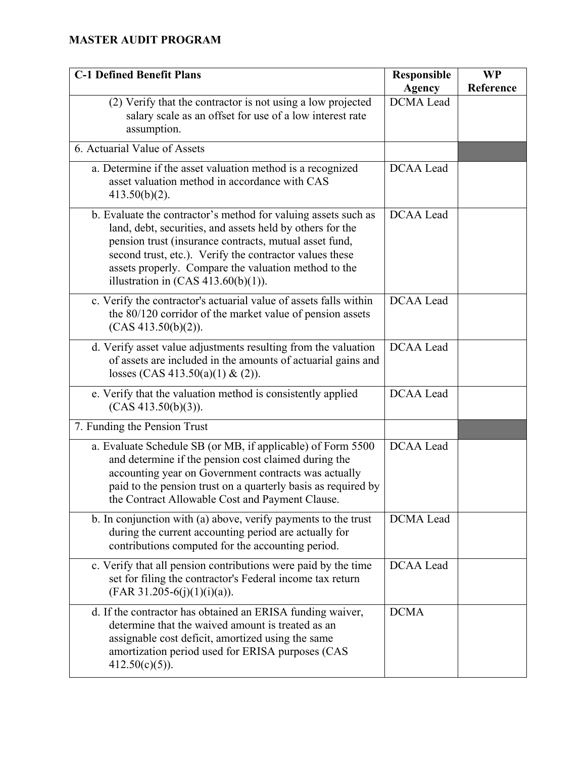| <b>C-1 Defined Benefit Plans</b>                                                                                                                                                                                                                                                                                                                   | <b>Responsible</b><br><b>Agency</b> | <b>WP</b><br>Reference |
|----------------------------------------------------------------------------------------------------------------------------------------------------------------------------------------------------------------------------------------------------------------------------------------------------------------------------------------------------|-------------------------------------|------------------------|
| (2) Verify that the contractor is not using a low projected<br>salary scale as an offset for use of a low interest rate<br>assumption.                                                                                                                                                                                                             | <b>DCMA</b> Lead                    |                        |
| 6. Actuarial Value of Assets                                                                                                                                                                                                                                                                                                                       |                                     |                        |
| a. Determine if the asset valuation method is a recognized<br>asset valuation method in accordance with CAS<br>$413.50(b)(2)$ .                                                                                                                                                                                                                    | <b>DCAA</b> Lead                    |                        |
| b. Evaluate the contractor's method for valuing assets such as<br>land, debt, securities, and assets held by others for the<br>pension trust (insurance contracts, mutual asset fund,<br>second trust, etc.). Verify the contractor values these<br>assets properly. Compare the valuation method to the<br>illustration in $(CAS 413.60(b)(1))$ . | <b>DCAA</b> Lead                    |                        |
| c. Verify the contractor's actuarial value of assets falls within<br>the 80/120 corridor of the market value of pension assets<br>(CAS 413.50(b)(2)).                                                                                                                                                                                              | <b>DCAA</b> Lead                    |                        |
| d. Verify asset value adjustments resulting from the valuation<br>of assets are included in the amounts of actuarial gains and<br>losses (CAS 413.50(a)(1) & (2)).                                                                                                                                                                                 | <b>DCAA</b> Lead                    |                        |
| e. Verify that the valuation method is consistently applied<br>(CAS 413.50(b)(3)).                                                                                                                                                                                                                                                                 | <b>DCAA</b> Lead                    |                        |
| 7. Funding the Pension Trust                                                                                                                                                                                                                                                                                                                       |                                     |                        |
| a. Evaluate Schedule SB (or MB, if applicable) of Form 5500<br>and determine if the pension cost claimed during the<br>accounting year on Government contracts was actually<br>paid to the pension trust on a quarterly basis as required by<br>the Contract Allowable Cost and Payment Clause.                                                    | <b>DCAA</b> Lead                    |                        |
| b. In conjunction with (a) above, verify payments to the trust<br>during the current accounting period are actually for<br>contributions computed for the accounting period.                                                                                                                                                                       | DCMA Lead                           |                        |
| c. Verify that all pension contributions were paid by the time<br>set for filing the contractor's Federal income tax return<br>$(FAR 31.205-6(j)(1)(i)(a)).$                                                                                                                                                                                       | DCAA Lead                           |                        |
| d. If the contractor has obtained an ERISA funding waiver,<br>determine that the waived amount is treated as an<br>assignable cost deficit, amortized using the same<br>amortization period used for ERISA purposes (CAS<br>$412.50(c)(5)$ ).                                                                                                      | <b>DCMA</b>                         |                        |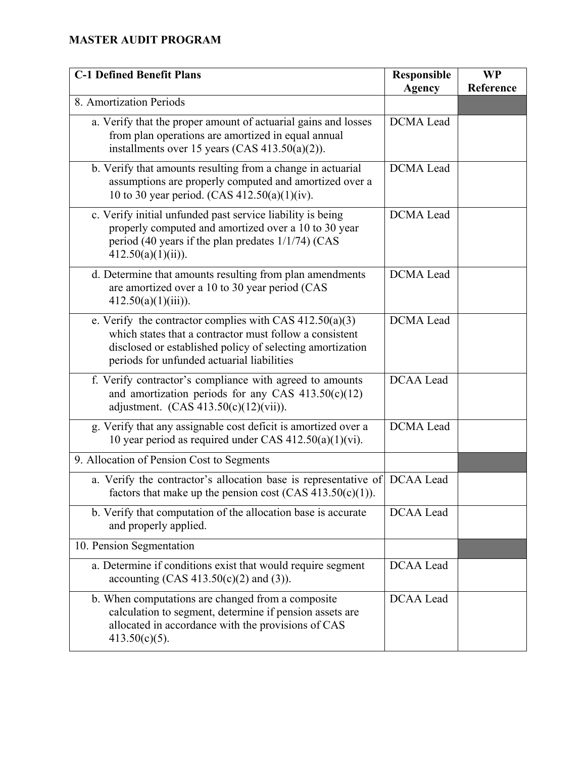| <b>C-1 Defined Benefit Plans</b>                                                                                                                                                                                                | <b>Responsible</b><br><b>Agency</b> | <b>WP</b><br>Reference |
|---------------------------------------------------------------------------------------------------------------------------------------------------------------------------------------------------------------------------------|-------------------------------------|------------------------|
| 8. Amortization Periods                                                                                                                                                                                                         |                                     |                        |
| a. Verify that the proper amount of actuarial gains and losses<br>from plan operations are amortized in equal annual<br>installments over 15 years (CAS $413.50(a)(2)$ ).                                                       | <b>DCMA</b> Lead                    |                        |
| b. Verify that amounts resulting from a change in actuarial<br>assumptions are properly computed and amortized over a<br>10 to 30 year period. (CAS 412.50(a)(1)(iv).                                                           | <b>DCMA</b> Lead                    |                        |
| c. Verify initial unfunded past service liability is being<br>properly computed and amortized over a 10 to 30 year<br>period (40 years if the plan predates 1/1/74) (CAS<br>$412.50(a)(1)(ii)$ .                                | <b>DCMA</b> Lead                    |                        |
| d. Determine that amounts resulting from plan amendments<br>are amortized over a 10 to 30 year period (CAS<br>$412.50(a)(1)(iii)$ ).                                                                                            | <b>DCMA</b> Lead                    |                        |
| e. Verify the contractor complies with CAS $412.50(a)(3)$<br>which states that a contractor must follow a consistent<br>disclosed or established policy of selecting amortization<br>periods for unfunded actuarial liabilities | <b>DCMA</b> Lead                    |                        |
| f. Verify contractor's compliance with agreed to amounts<br>and amortization periods for any CAS $413.50(c)(12)$<br>adjustment. $(CAS 413.50(c)(12)(vii))$ .                                                                    | <b>DCAA</b> Lead                    |                        |
| g. Verify that any assignable cost deficit is amortized over a<br>10 year period as required under CAS $412.50(a)(1)(vi)$ .                                                                                                     | <b>DCMA</b> Lead                    |                        |
| 9. Allocation of Pension Cost to Segments                                                                                                                                                                                       |                                     |                        |
| a. Verify the contractor's allocation base is representative of DCAA Lead<br>factors that make up the pension cost (CAS $413.50(c)(1)$ ).                                                                                       |                                     |                        |
| b. Verify that computation of the allocation base is accurate<br>and properly applied.                                                                                                                                          | DCAA Lead                           |                        |
| 10. Pension Segmentation                                                                                                                                                                                                        |                                     |                        |
| a. Determine if conditions exist that would require segment<br>accounting $(CAS 413.50(c)(2)$ and (3)).                                                                                                                         | DCAA Lead                           |                        |
| b. When computations are changed from a composite<br>calculation to segment, determine if pension assets are<br>allocated in accordance with the provisions of CAS<br>$413.50(c)(5)$ .                                          | <b>DCAA</b> Lead                    |                        |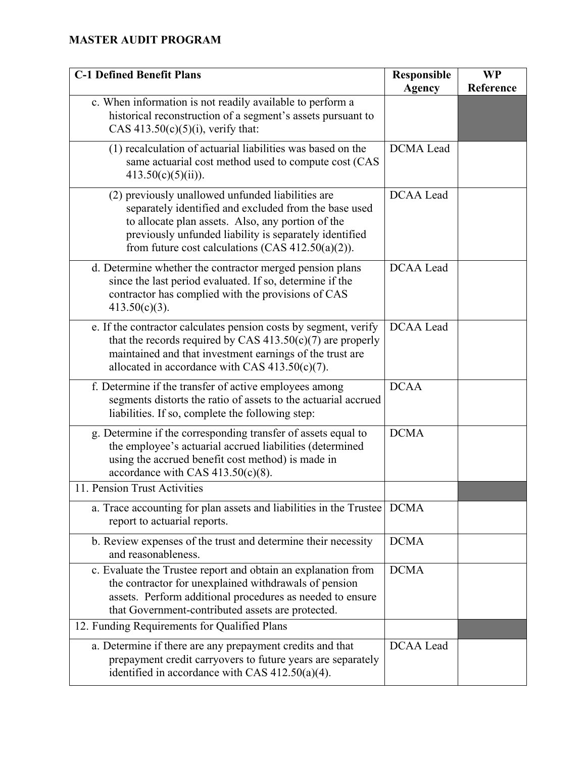| <b>C-1 Defined Benefit Plans</b>                                                                                                                                                                                                                                                  | <b>Responsible</b><br><b>Agency</b> | <b>WP</b><br>Reference |
|-----------------------------------------------------------------------------------------------------------------------------------------------------------------------------------------------------------------------------------------------------------------------------------|-------------------------------------|------------------------|
| c. When information is not readily available to perform a<br>historical reconstruction of a segment's assets pursuant to<br>CAS $413.50(c)(5)(i)$ , verify that:                                                                                                                  |                                     |                        |
| (1) recalculation of actuarial liabilities was based on the<br>same actuarial cost method used to compute cost (CAS<br>$413.50(c)(5)(ii)$ ).                                                                                                                                      | <b>DCMA</b> Lead                    |                        |
| (2) previously unallowed unfunded liabilities are<br>separately identified and excluded from the base used<br>to allocate plan assets. Also, any portion of the<br>previously unfunded liability is separately identified<br>from future cost calculations (CAS $412.50(a)(2)$ ). | <b>DCAA</b> Lead                    |                        |
| d. Determine whether the contractor merged pension plans<br>since the last period evaluated. If so, determine if the<br>contractor has complied with the provisions of CAS<br>$413.50(c)(3)$ .                                                                                    | <b>DCAA</b> Lead                    |                        |
| e. If the contractor calculates pension costs by segment, verify<br>that the records required by CAS $413.50(c)(7)$ are properly<br>maintained and that investment earnings of the trust are<br>allocated in accordance with CAS $413.50(c)(7)$ .                                 | <b>DCAA</b> Lead                    |                        |
| f. Determine if the transfer of active employees among<br>segments distorts the ratio of assets to the actuarial accrued<br>liabilities. If so, complete the following step:                                                                                                      | <b>DCAA</b>                         |                        |
| g. Determine if the corresponding transfer of assets equal to<br>the employee's actuarial accrued liabilities (determined<br>using the accrued benefit cost method) is made in<br>accordance with CAS $413.50(c)(8)$ .                                                            | <b>DCMA</b>                         |                        |
| 11. Pension Trust Activities                                                                                                                                                                                                                                                      |                                     |                        |
| a. Trace accounting for plan assets and liabilities in the Trustee   DCMA<br>report to actuarial reports.                                                                                                                                                                         |                                     |                        |
| b. Review expenses of the trust and determine their necessity<br>and reasonableness.                                                                                                                                                                                              | <b>DCMA</b>                         |                        |
| c. Evaluate the Trustee report and obtain an explanation from<br>the contractor for unexplained withdrawals of pension<br>assets. Perform additional procedures as needed to ensure<br>that Government-contributed assets are protected.                                          | <b>DCMA</b>                         |                        |
| 12. Funding Requirements for Qualified Plans                                                                                                                                                                                                                                      |                                     |                        |
| a. Determine if there are any prepayment credits and that<br>prepayment credit carryovers to future years are separately<br>identified in accordance with CAS $412.50(a)(4)$ .                                                                                                    | DCAA Lead                           |                        |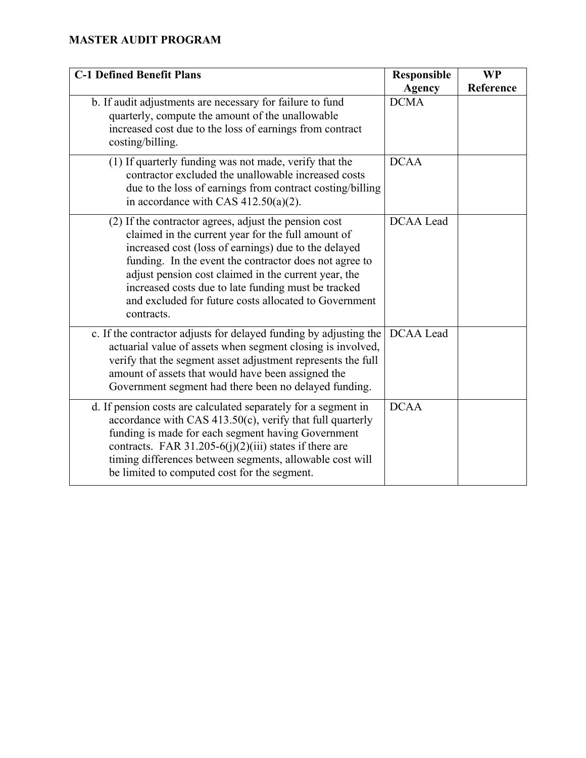| <b>C-1 Defined Benefit Plans</b>                                                                                                                                                                                                                                                                                                                                                                                    | Responsible<br><b>Agency</b> | <b>WP</b><br>Reference |
|---------------------------------------------------------------------------------------------------------------------------------------------------------------------------------------------------------------------------------------------------------------------------------------------------------------------------------------------------------------------------------------------------------------------|------------------------------|------------------------|
| b. If audit adjustments are necessary for failure to fund<br>quarterly, compute the amount of the unallowable<br>increased cost due to the loss of earnings from contract<br>costing/billing.                                                                                                                                                                                                                       | <b>DCMA</b>                  |                        |
| (1) If quarterly funding was not made, verify that the<br>contractor excluded the unallowable increased costs<br>due to the loss of earnings from contract costing/billing<br>in accordance with CAS 412.50(a)(2).                                                                                                                                                                                                  | <b>DCAA</b>                  |                        |
| (2) If the contractor agrees, adjust the pension cost<br>claimed in the current year for the full amount of<br>increased cost (loss of earnings) due to the delayed<br>funding. In the event the contractor does not agree to<br>adjust pension cost claimed in the current year, the<br>increased costs due to late funding must be tracked<br>and excluded for future costs allocated to Government<br>contracts. | <b>DCAA</b> Lead             |                        |
| c. If the contractor adjusts for delayed funding by adjusting the<br>actuarial value of assets when segment closing is involved,<br>verify that the segment asset adjustment represents the full<br>amount of assets that would have been assigned the<br>Government segment had there been no delayed funding.                                                                                                     | DCAA Lead                    |                        |
| d. If pension costs are calculated separately for a segment in<br>accordance with CAS $413.50(c)$ , verify that full quarterly<br>funding is made for each segment having Government<br>contracts. FAR 31.205-6(j)(2)(iii) states if there are<br>timing differences between segments, allowable cost will<br>be limited to computed cost for the segment.                                                          | <b>DCAA</b>                  |                        |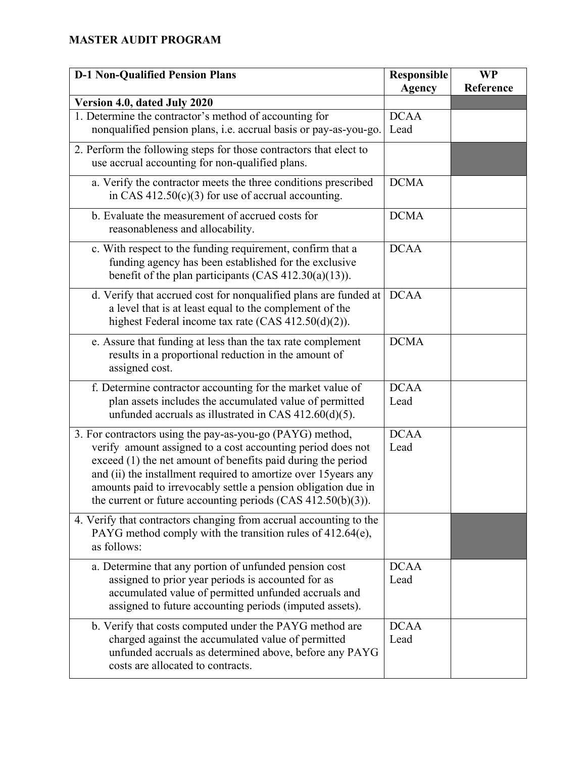| <b>D-1 Non-Qualified Pension Plans</b>                                                                                                                                                                                                                                                                                                                                                           | <b>Responsible</b><br><b>Agency</b> | <b>WP</b><br>Reference |
|--------------------------------------------------------------------------------------------------------------------------------------------------------------------------------------------------------------------------------------------------------------------------------------------------------------------------------------------------------------------------------------------------|-------------------------------------|------------------------|
| Version 4.0, dated July 2020                                                                                                                                                                                                                                                                                                                                                                     |                                     |                        |
| 1. Determine the contractor's method of accounting for                                                                                                                                                                                                                                                                                                                                           | <b>DCAA</b>                         |                        |
| nonqualified pension plans, i.e. accrual basis or pay-as-you-go.                                                                                                                                                                                                                                                                                                                                 | Lead                                |                        |
| 2. Perform the following steps for those contractors that elect to<br>use accrual accounting for non-qualified plans.                                                                                                                                                                                                                                                                            |                                     |                        |
| a. Verify the contractor meets the three conditions prescribed<br>in CAS $412.50(c)(3)$ for use of accrual accounting.                                                                                                                                                                                                                                                                           | <b>DCMA</b>                         |                        |
| b. Evaluate the measurement of accrued costs for<br>reasonableness and allocability.                                                                                                                                                                                                                                                                                                             | <b>DCMA</b>                         |                        |
| c. With respect to the funding requirement, confirm that a<br>funding agency has been established for the exclusive<br>benefit of the plan participants (CAS 412.30(a)(13)).                                                                                                                                                                                                                     | <b>DCAA</b>                         |                        |
| d. Verify that accrued cost for nonqualified plans are funded at<br>a level that is at least equal to the complement of the<br>highest Federal income tax rate (CAS 412.50(d)(2)).                                                                                                                                                                                                               | <b>DCAA</b>                         |                        |
| e. Assure that funding at less than the tax rate complement<br>results in a proportional reduction in the amount of<br>assigned cost.                                                                                                                                                                                                                                                            | <b>DCMA</b>                         |                        |
| f. Determine contractor accounting for the market value of<br>plan assets includes the accumulated value of permitted<br>unfunded accruals as illustrated in CAS $412.60(d)(5)$ .                                                                                                                                                                                                                | <b>DCAA</b><br>Lead                 |                        |
| 3. For contractors using the pay-as-you-go (PAYG) method,<br>verify amount assigned to a cost accounting period does not<br>exceed (1) the net amount of benefits paid during the period<br>and (ii) the installment required to amortize over 15 years any<br>amounts paid to irrevocably settle a pension obligation due in<br>the current or future accounting periods $(CAS 412.50(b)(3))$ . | <b>DCAA</b><br>Lead                 |                        |
| 4. Verify that contractors changing from accrual accounting to the<br>PAYG method comply with the transition rules of 412.64(e),<br>as follows:                                                                                                                                                                                                                                                  |                                     |                        |
| a. Determine that any portion of unfunded pension cost<br>assigned to prior year periods is accounted for as<br>accumulated value of permitted unfunded accruals and<br>assigned to future accounting periods (imputed assets).                                                                                                                                                                  | <b>DCAA</b><br>Lead                 |                        |
| b. Verify that costs computed under the PAYG method are<br>charged against the accumulated value of permitted<br>unfunded accruals as determined above, before any PAYG<br>costs are allocated to contracts.                                                                                                                                                                                     | <b>DCAA</b><br>Lead                 |                        |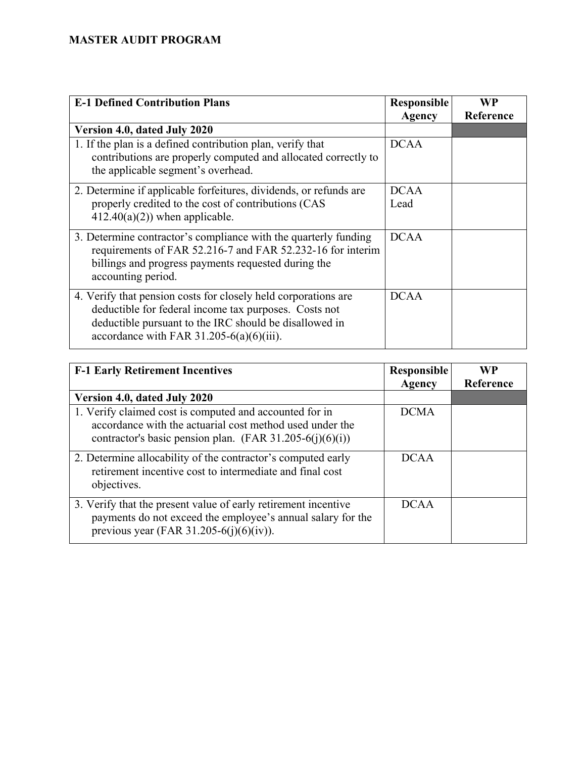| <b>E-1 Defined Contribution Plans</b>                                                                                                                                                                                            | <b>Responsible</b><br><b>Agency</b> | <b>WP</b><br>Reference |
|----------------------------------------------------------------------------------------------------------------------------------------------------------------------------------------------------------------------------------|-------------------------------------|------------------------|
| Version 4.0, dated July 2020                                                                                                                                                                                                     |                                     |                        |
| 1. If the plan is a defined contribution plan, verify that<br>contributions are properly computed and allocated correctly to<br>the applicable segment's overhead.                                                               | <b>DCAA</b>                         |                        |
| 2. Determine if applicable forfeitures, dividends, or refunds are<br>properly credited to the cost of contributions (CAS<br>$412.40(a)(2)$ ) when applicable.                                                                    | <b>DCAA</b><br>Lead                 |                        |
| 3. Determine contractor's compliance with the quarterly funding<br>requirements of FAR 52.216-7 and FAR 52.232-16 for interim<br>billings and progress payments requested during the<br>accounting period.                       | <b>DCAA</b>                         |                        |
| 4. Verify that pension costs for closely held corporations are<br>deductible for federal income tax purposes. Costs not<br>deductible pursuant to the IRC should be disallowed in<br>accordance with FAR $31.205-6(a)(6)(iii)$ . | <b>DCAA</b>                         |                        |

| <b>F-1 Early Retirement Incentives</b>                                                                                                                                          | <b>Responsible</b> | <b>WP</b> |
|---------------------------------------------------------------------------------------------------------------------------------------------------------------------------------|--------------------|-----------|
|                                                                                                                                                                                 | Agency             | Reference |
| Version 4.0, dated July 2020                                                                                                                                                    |                    |           |
| 1. Verify claimed cost is computed and accounted for in<br>accordance with the actuarial cost method used under the<br>contractor's basic pension plan. (FAR 31.205-6(j)(6)(i)) | <b>DCMA</b>        |           |
| 2. Determine allocability of the contractor's computed early<br>retirement incentive cost to intermediate and final cost<br>objectives.                                         | DCA A              |           |
| 3. Verify that the present value of early retirement incentive<br>payments do not exceed the employee's annual salary for the<br>previous year (FAR 31.205-6(j)(6)(iv)).        | <b>DCAA</b>        |           |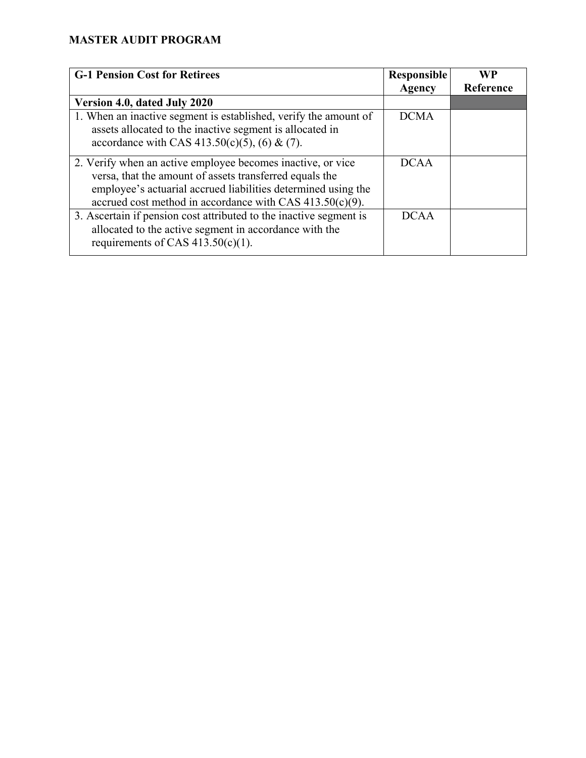| <b>G-1 Pension Cost for Retirees</b>                                                                                                                                                                                                                   | <b>Responsible</b> | WP        |
|--------------------------------------------------------------------------------------------------------------------------------------------------------------------------------------------------------------------------------------------------------|--------------------|-----------|
|                                                                                                                                                                                                                                                        | Agency             | Reference |
| Version 4.0, dated July 2020                                                                                                                                                                                                                           |                    |           |
| 1. When an inactive segment is established, verify the amount of<br>assets allocated to the inactive segment is allocated in<br>accordance with CAS 413.50(c)(5), (6) & (7).                                                                           | <b>DCMA</b>        |           |
| 2. Verify when an active employee becomes inactive, or vice<br>versa, that the amount of assets transferred equals the<br>employee's actuarial accrued liabilities determined using the<br>accrued cost method in accordance with CAS $413.50(c)(9)$ . | <b>DCAA</b>        |           |
| 3. Ascertain if pension cost attributed to the inactive segment is<br>allocated to the active segment in accordance with the<br>requirements of CAS $413.50(c)(1)$ .                                                                                   | <b>DCAA</b>        |           |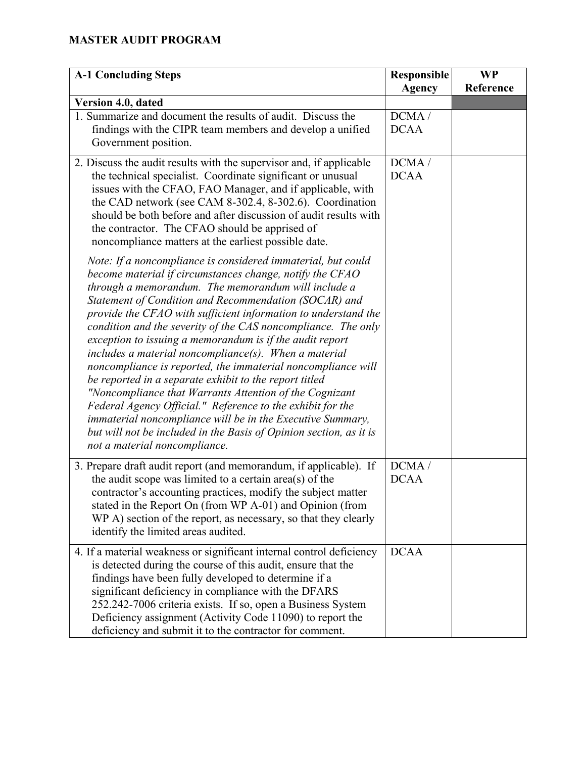| <b>A-1 Concluding Steps</b>                                                                                                                                                                                                                                                                                                                                                                                                                                                                                                                                                                                                                                                                                                                                                                                                                                       | <b>Responsible</b>   | <b>WP</b> |
|-------------------------------------------------------------------------------------------------------------------------------------------------------------------------------------------------------------------------------------------------------------------------------------------------------------------------------------------------------------------------------------------------------------------------------------------------------------------------------------------------------------------------------------------------------------------------------------------------------------------------------------------------------------------------------------------------------------------------------------------------------------------------------------------------------------------------------------------------------------------|----------------------|-----------|
|                                                                                                                                                                                                                                                                                                                                                                                                                                                                                                                                                                                                                                                                                                                                                                                                                                                                   | <b>Agency</b>        | Reference |
| Version 4.0, dated                                                                                                                                                                                                                                                                                                                                                                                                                                                                                                                                                                                                                                                                                                                                                                                                                                                |                      |           |
| 1. Summarize and document the results of audit. Discuss the                                                                                                                                                                                                                                                                                                                                                                                                                                                                                                                                                                                                                                                                                                                                                                                                       | DCMA/                |           |
| findings with the CIPR team members and develop a unified                                                                                                                                                                                                                                                                                                                                                                                                                                                                                                                                                                                                                                                                                                                                                                                                         | <b>DCAA</b>          |           |
| Government position.                                                                                                                                                                                                                                                                                                                                                                                                                                                                                                                                                                                                                                                                                                                                                                                                                                              |                      |           |
| 2. Discuss the audit results with the supervisor and, if applicable<br>the technical specialist. Coordinate significant or unusual<br>issues with the CFAO, FAO Manager, and if applicable, with<br>the CAD network (see CAM 8-302.4, 8-302.6). Coordination<br>should be both before and after discussion of audit results with<br>the contractor. The CFAO should be apprised of<br>noncompliance matters at the earliest possible date.<br>Note: If a noncompliance is considered immaterial, but could                                                                                                                                                                                                                                                                                                                                                        | DCMA/<br><b>DCAA</b> |           |
| become material if circumstances change, notify the CFAO<br>through a memorandum. The memorandum will include a<br>Statement of Condition and Recommendation (SOCAR) and<br>provide the CFAO with sufficient information to understand the<br>condition and the severity of the CAS noncompliance. The only<br>exception to issuing a memorandum is if the audit report<br>$includes a material noncompliance(s).$ When a material<br>noncompliance is reported, the immaterial noncompliance will<br>be reported in a separate exhibit to the report titled<br>"Noncompliance that Warrants Attention of the Cognizant<br>Federal Agency Official." Reference to the exhibit for the<br><i>immaterial noncompliance will be in the Executive Summary,</i><br>but will not be included in the Basis of Opinion section, as it is<br>not a material noncompliance. |                      |           |
| 3. Prepare draft audit report (and memorandum, if applicable). If<br>the audit scope was limited to a certain area(s) of the<br>contractor's accounting practices, modify the subject matter<br>stated in the Report On (from WP A-01) and Opinion (from<br>WP A) section of the report, as necessary, so that they clearly<br>identify the limited areas audited.                                                                                                                                                                                                                                                                                                                                                                                                                                                                                                | DCMA/<br><b>DCAA</b> |           |
| 4. If a material weakness or significant internal control deficiency<br>is detected during the course of this audit, ensure that the<br>findings have been fully developed to determine if a<br>significant deficiency in compliance with the DFARS<br>252.242-7006 criteria exists. If so, open a Business System<br>Deficiency assignment (Activity Code 11090) to report the<br>deficiency and submit it to the contractor for comment.                                                                                                                                                                                                                                                                                                                                                                                                                        | <b>DCAA</b>          |           |